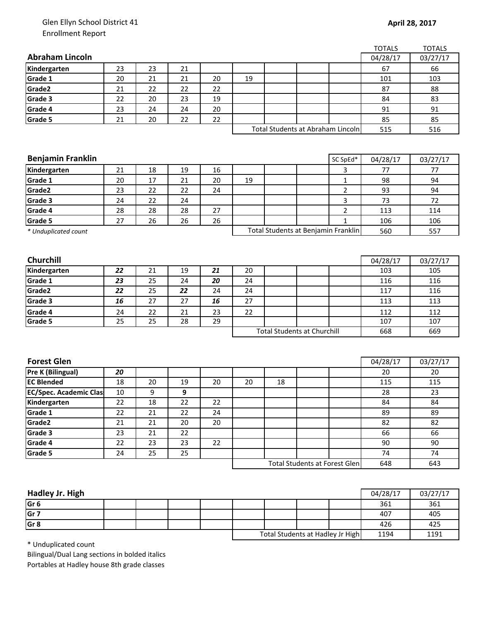## Glen Ellyn School District 41 Enrollment Report

|                               |    |    |    |    |    |    |                                      |                | <b>TOTALS</b> | <b>TOTALS</b> |
|-------------------------------|----|----|----|----|----|----|--------------------------------------|----------------|---------------|---------------|
| <b>Abraham Lincoln</b>        |    |    |    |    |    |    |                                      |                | 04/28/17      | 03/27/17      |
| Kindergarten                  | 23 | 23 | 21 |    |    |    |                                      |                | 67            | 66            |
| Grade 1                       | 20 | 21 | 21 | 20 | 19 |    |                                      |                | 101           | 103           |
| Grade2                        | 21 | 22 | 22 | 22 |    |    |                                      |                | 87            | 88            |
| Grade 3                       | 22 | 20 | 23 | 19 |    |    |                                      |                | 84            | 83            |
| Grade 4                       | 23 | 24 | 24 | 20 |    |    |                                      |                | 91            | 91            |
| Grade 5                       | 21 | 20 | 22 | 22 |    |    |                                      |                | 85            | 85            |
|                               |    |    |    |    |    |    | Total Students at Abraham Lincoln    |                | 515           | 516           |
|                               |    |    |    |    |    |    |                                      |                |               |               |
|                               |    |    |    |    |    |    |                                      |                |               |               |
| <b>Benjamin Franklin</b>      |    |    |    |    |    |    |                                      | SC SpEd*       | 04/28/17      | 03/27/17      |
| Kindergarten                  | 21 | 18 | 19 | 16 |    |    |                                      | 3              | 77            | 77            |
| Grade 1                       | 20 | 17 | 21 | 20 | 19 |    |                                      | $\mathbf 1$    | 98            | 94            |
| Grade2                        | 23 | 22 | 22 | 24 |    |    |                                      | $\overline{2}$ | 93            | 94            |
| Grade 3                       | 24 | 22 | 24 |    |    |    |                                      | 3              | 73            | 72            |
| Grade 4                       | 28 | 28 | 28 | 27 |    |    |                                      | $\mathbf 2$    | 113           | 114           |
| Grade 5                       | 27 | 26 | 26 | 26 |    |    |                                      | $\mathbf{1}$   | 106           | 106           |
| * Unduplicated count          |    |    |    |    |    |    | Total Students at Benjamin Franklin  |                | 560           | 557           |
|                               |    |    |    |    |    |    |                                      |                |               |               |
|                               |    |    |    |    |    |    |                                      |                |               |               |
| Churchill                     |    |    |    |    |    |    |                                      |                | 04/28/17      | 03/27/17      |
| Kindergarten                  | 22 | 21 | 19 | 21 | 20 |    |                                      |                | 103           | 105           |
| Grade 1                       | 23 | 25 | 24 | 20 | 24 |    |                                      |                | 116           | 116           |
| Grade2                        | 22 | 25 | 22 | 24 | 24 |    |                                      |                | 117           | 116           |
| Grade 3                       | 16 | 27 | 27 | 16 | 27 |    |                                      |                | 113           | 113           |
| Grade 4                       | 24 | 22 | 21 | 23 | 22 |    |                                      |                | 112           | 112           |
| Grade 5                       | 25 | 25 | 28 | 29 |    |    |                                      |                | 107           | 107           |
|                               |    |    |    |    |    |    | <b>Total Students at Churchill</b>   |                | 668           | 669           |
|                               |    |    |    |    |    |    |                                      |                |               |               |
|                               |    |    |    |    |    |    |                                      |                |               |               |
| <b>Forest Glen</b>            |    |    |    |    |    |    |                                      |                | 04/28/17      | 03/27/17      |
| <b>Pre K (Bilingual)</b>      | 20 |    |    |    |    |    |                                      |                | 20            | 20            |
| <b>EC Blended</b>             | 18 | 20 | 19 | 20 | 20 | 18 |                                      |                | 115           | 115           |
| <b>EC/Spec. Academic Clas</b> | 10 | 9  | 9  |    |    |    |                                      |                | 28            | 23            |
| Kindergarten                  | 22 | 18 | 22 | 22 |    |    |                                      |                | 84            | 84            |
| Grade 1                       | 22 | 21 | 22 | 24 |    |    |                                      |                | 89            | 89            |
| Grade2                        | 21 | 21 | 20 | 20 |    |    |                                      |                | 82            | 82            |
| Grade 3                       | 23 | 21 | 22 |    |    |    |                                      |                | 66            | 66            |
| Grade 4                       | 22 | 23 | 23 | 22 |    |    |                                      |                | 90            | 90            |
| Grade 5                       | 24 | 25 | 25 |    |    |    |                                      |                | 74            | 74            |
|                               |    |    |    |    |    |    | <b>Total Students at Forest Glen</b> |                | 648           | 643           |
|                               |    |    |    |    |    |    |                                      |                |               |               |

| Hadley Jr. High |  |  |                                  |  |      | 04/28/17 | 03/27/17 |
|-----------------|--|--|----------------------------------|--|------|----------|----------|
| Gr <sub>6</sub> |  |  |                                  |  |      | 361      | 361      |
| Gr <sub>7</sub> |  |  |                                  |  |      | 407      | 405      |
| Gr <sub>8</sub> |  |  |                                  |  |      | 426      | 425      |
|                 |  |  | Total Students at Hadley Jr High |  | 1194 | 1191     |          |

\* Unduplicated count

Bilingual/Dual Lang sections in bolded italics Portables at Hadley house 8th grade classes